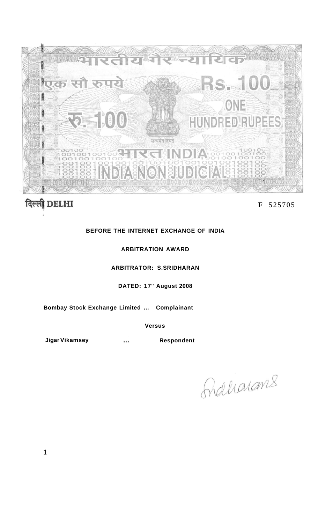

# दिल्ली DELHI

# **F** 525705

## **BEFORE THE INTERNET EXCHANGE OF INDIA**

## **ARBITRATION AWARD**

# **ARBITRATOR: S.SRIDHARAN**

### **DATED: 17<sup>t</sup> <sup>h</sup> August 2008**

**Bombay Stock Exchange Limited ... Complainant** 

**Versus** 

**Jigar Vikamsey 1988 Marsus** Controller Respondent

<u>Adharans</u>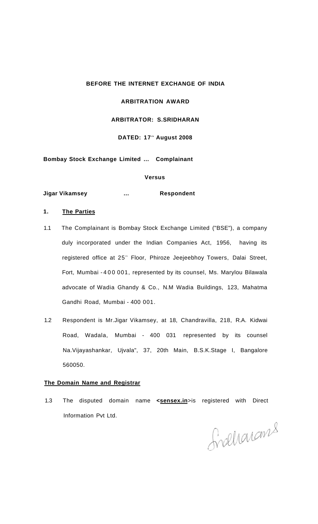#### **BEFORE THE INTERNET EXCHANGE OF INDIA**

#### **ARBITRATION AWARD**

## **ARBITRATOR: S.SRIDHARAN**

#### **DATED: 17<sup>t</sup> <sup>h</sup> August 2008**

**Bombay Stock Exchange Limited ... Complainant** 

### **Versus**

**Jigar Vikamsey 2008 Marsh 2008 Marsh 2018 Respondent** 

#### **1. The Parties**

- 1.1 The Complainant is Bombay Stock Exchange Limited ("BSE"), a company duly incorporated under the Indian Companies Act, 1956, having its registered office at 25<sup>th</sup> Floor, Phiroze Jeejeebhoy Towers, Dalai Street, Fort, Mumbai -40 0 001, represented by its counsel, Ms. Marylou Bilawala advocate of Wadia Ghandy & Co., N.M Wadia Buildings, 123, Mahatma Gandhi Road, Mumbai - 400 001.
- 1.2 Respondent is Mr.Jigar Vikamsey, at 18, Chandravilla, 218, R.A. Kidwai Road, Wadala, Mumbai - 400 031 represented by its counsel Na.Vijayashankar, Ujvala", 37, 20th Main, B.S.K.Stage I, Bangalore 560050.

#### **The Domain Name and Registrar**

1.3 The disputed domain name <**sensex.in**>is registered with Direct Information Pvt Ltd.

Graharams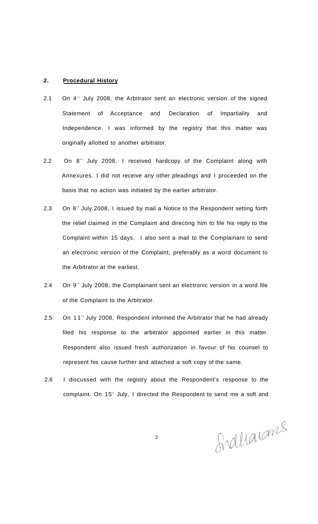#### **2. Procedural History**

- 2.1 On  $4^{\text{th}}$  July 2008, the Arbitrator sent an electronic version of the signed Statement of Acceptance and Declaration of Impartiality and Independence. I was informed by the registry that this matter was originally allotted to another arbitrator.
- 2.2 On 8<sup>th</sup> July 2008, I received hardcopy of the Complaint along with Annexures. I did not receive any other pleadings and I proceeded on the basis that no action was initiated by the earlier arbitrator.
- 2.3 On 8<sup>th</sup> July 2008, I issued by mail a Notice to the Respondent setting forth the relief claimed in the Complaint and directing him to file his reply to the Complaint within 15 days. I also sent a mail to the Complainant to send an electronic version of the Complaint, preferably as a word document to the Arbitrator at the earliest.
- 2.4 On 9<sup>th</sup> July 2008, the Complainant sent an electronic version in a word file of the Complaint to the Arbitrator.
- 2.5 On 11 $^{\circ}$  July 2008, Respondent informed the Arbitrator that he had already filed his response to the arbitrator appointed earlier in this matter. Respondent also issued fresh authorization in favour of his counsel to represent his cause further and attached a soft copy of the same.
- 2.6 I discussed with the registry about the Respondent's response to the complaint. On 15<sup>th</sup> July, I directed the Respondent to send me a soft and

Sidharams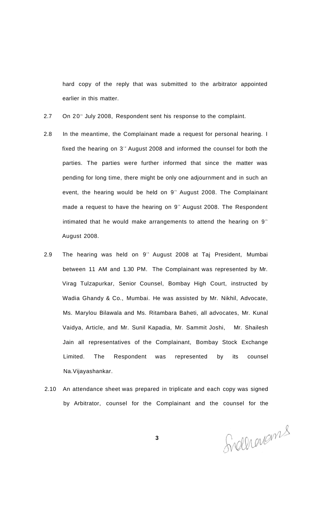hard copy of the reply that was submitted to the arbitrator appointed earlier in this matter.

- 2.7 On 20<sup>th</sup> July 2008, Respondent sent his response to the complaint.
- 2.8 In the meantime, the Complainant made a request for personal hearing. I fixed the hearing on  $3<sup>nd</sup>$  August 2008 and informed the counsel for both the parties. The parties were further informed that since the matter was pending for long time, there might be only one adjournment and in such an event, the hearing would be held on  $9<sup>th</sup>$  August 2008. The Complainant made a request to have the hearing on 9<sup>th</sup> August 2008. The Respondent intimated that he would make arrangements to attend the hearing on  $9<sup>th</sup>$ August 2008.
- 2.9 The hearing was held on 9<sup>th</sup> August 2008 at Taj President, Mumbai between 11 AM and 1.30 PM. The Complainant was represented by Mr. Virag Tulzapurkar, Senior Counsel, Bombay High Court, instructed by Wadia Ghandy & Co., Mumbai. He was assisted by Mr. Nikhil, Advocate, Ms. Marylou Bilawala and Ms. Ritambara Baheti, all advocates, Mr. Kunal Vaidya, Article, and Mr. Sunil Kapadia, Mr. Sammit Joshi, Mr. Shailesh Jain all representatives of the Complainant, Bombay Stock Exchange Limited. The Respondent was represented by its counsel Na.Vijayashankar.
- 2.10 An attendance sheet was prepared in triplicate and each copy was signed by Arbitrator, counsel for the Complainant and the counsel for the

Svelhenams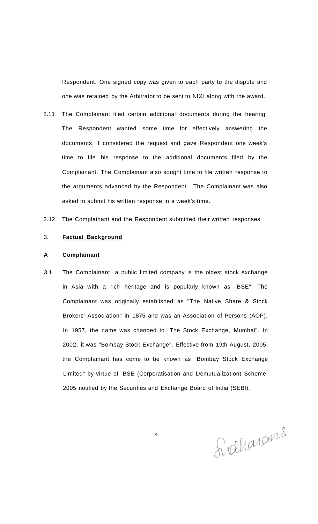Respondent. One signed copy was given to each party to the dispute and one was retained by the Arbitrator to be sent to NIXI along with the award.

- 2.11 The Complainant filed certain additional documents during the hearing. The Respondent wanted some time for effectively answering the documents. I considered the request and gave Respondent one week's time to file his response to the additional documents filed by the Complainant. The Complainant also sought time to file written response to the arguments advanced by the Respondent. The Complainant was also asked to submit his written response in a week's time.
- 2.12 The Complainant and the Respondent submitted their written responses.

#### 3. **Factual Background**

#### **A Complainant**

3.1 The Complainant, a public limited company is the oldest stock exchange in Asia with a rich heritage and is popularly known as "BSE". The Complainant was originally established as "The Native Share & Stock Brokers' Association" in 1875 and was an Association of Persons (AOP). In 1957, the name was changed to "The Stock Exchange, Mumbai". In 2002, it was "Bombay Stock Exchange". Effective from 19th August, 2005, the Complainant has come to be known as "Bombay Stock Exchange Limited" by virtue of BSE (Corporatisation and Demutualization) Scheme, 2005 notified by the Securities and Exchange Board of India (SEBI),

Sidharams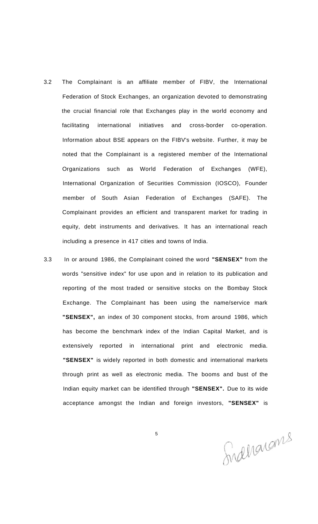- 3.2 The Complainant is an affiliate member of FIBV, the International Federation of Stock Exchanges, an organization devoted to demonstrating the crucial financial role that Exchanges play in the world economy and facilitating international initiatives and cross-border co-operation. Information about BSE appears on the FIBV's website. Further, it may be noted that the Complainant is a registered member of the International Organizations such as World Federation of Exchanges (WFE), International Organization of Securities Commission (IOSCO), Founder member of South Asian Federation of Exchanges (SAFE). The Complainant provides an efficient and transparent market for trading in equity, debt instruments and derivatives. It has an international reach including a presence in 417 cities and towns of India.
- 3.3 In or around 1986, the Complainant coined the word **"SENSEX"** from the words "sensitive index" for use upon and in relation to its publication and reporting of the most traded or sensitive stocks on the Bombay Stock Exchange. The Complainant has been using the name/service mark **"SENSEX",** an index of 30 component stocks, from around 1986, which has become the benchmark index of the Indian Capital Market, and is extensively reported in international print and electronic media. **"SENSEX"** is widely reported in both domestic and international markets through print as well as electronic media. The booms and bust of the Indian equity market can be identified through **"SENSEX".** Due to its wide acceptance amongst the Indian and foreign investors, **"SENSEX"** is

Indharams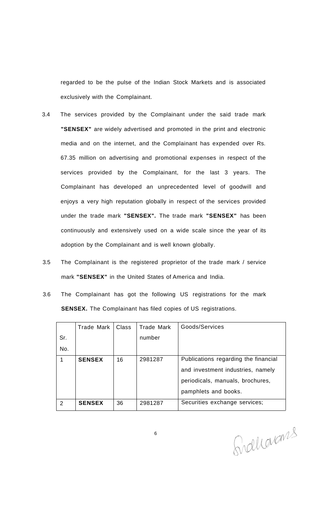regarded to be the pulse of the Indian Stock Markets and is associated exclusively with the Complainant.

- 3.4 The services provided by the Complainant under the said trade mark **"SENSEX"** are widely advertised and promoted in the print and electronic media and on the internet, and the Complainant has expended over Rs. 67.35 million on advertising and promotional expenses in respect of the services provided by the Complainant, for the last 3 years. The Complainant has developed an unprecedented level of goodwill and enjoys a very high reputation globally in respect of the services provided under the trade mark **"SENSEX".** The trade mark **"SENSEX"** has been continuously and extensively used on a wide scale since the year of its adoption by the Complainant and is well known globally.
- 3.5 The Complainant is the registered proprietor of the trade mark / service mark **"SENSEX"** in the United States of America and India.
- 3.6 The Complainant has got the following US registrations for the mark **SENSEX.** The Complainant has filed copies of US registrations.

|     | Trade Mark    | Class | Trade Mark | Goods/Services                       |
|-----|---------------|-------|------------|--------------------------------------|
| Sr. |               |       | number     |                                      |
| No. |               |       |            |                                      |
|     | <b>SENSEX</b> | 16    | 2981287    | Publications regarding the financial |
|     |               |       |            | and investment industries, namely    |
|     |               |       |            | periodicals, manuals, brochures,     |
|     |               |       |            | pamphlets and books.                 |
| 2   | <b>SENSEX</b> | 36    | 2981287    | Securities exchange services;        |

Graharans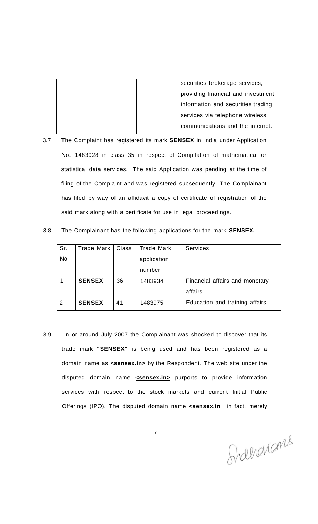|  |  | securities brokerage services;     |
|--|--|------------------------------------|
|  |  | providing financial and investment |
|  |  | information and securities trading |
|  |  | services via telephone wireless    |
|  |  | communications and the internet.   |
|  |  |                                    |

3.7 The Complaint has registered its mark **SENSEX** in India under Application No. 1483928 in class 35 in respect of Compilation of mathematical or statistical data services. The said Application was pending at the time of filing of the Complaint and was registered subsequently. The Complainant has filed by way of an affidavit a copy of certificate of registration of the said mark along with a certificate for use in legal proceedings.

| 3.8 | The Complainant has the following applications for the mark <b>SENSEX.</b> |  |  |  |  |
|-----|----------------------------------------------------------------------------|--|--|--|--|
|-----|----------------------------------------------------------------------------|--|--|--|--|

| Sr. | Trade Mark    | Class | Trade Mark  | <b>Services</b>                 |
|-----|---------------|-------|-------------|---------------------------------|
| No. |               |       | application |                                 |
|     |               |       | number      |                                 |
|     | <b>SENSEX</b> | 36    | 1483934     | Financial affairs and monetary  |
|     |               |       |             | affairs.                        |
| 2   | <b>SENSEX</b> | 41    | 1483975     | Education and training affairs. |

3.9 In or around July 2007 the Complainant was shocked to discover that its trade mark **"SENSEX"** is being used and has been registered as a domain name as **<sensex.in>** by the Respondent. The web site under the disputed domain name **<sensex.in>** purports to provide information services with respect to the stock markets and current Initial Public Offerings (IPO). The disputed domain name **sensex.in** in fact, merely

Siderarams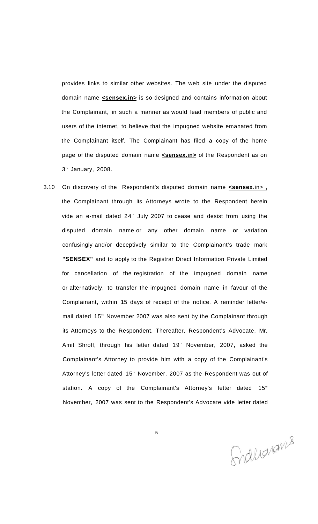provides links to similar other websites. The web site under the disputed domain name **sensex.in>** is so designed and contains information about the Complainant, in such a manner as would lead members of public and users of the internet, to believe that the impugned website emanated from the Complainant itself. The Complainant has filed a copy of the home page of the disputed domain name **<sensex.in>** of the Respondent as on 3<sup>d</sup> January, 2008.

3.10 On discovery of the Respondent's disputed domain name **<sensex**.in> , the Complainant through its Attorneys wrote to the Respondent herein vide an e-mail dated  $24$ <sup>th</sup> July 2007 to cease and desist from using the disputed domain name or any other domain name or variation confusingly and/or deceptively similar to the Complainant's trade mark **"SENSEX"** and to apply to the Registrar Direct Information Private Limited for cancellation of the registration of the impugned domain name or alternatively, to transfer the impugned domain name in favour of the Complainant, within 15 days of receipt of the notice. A reminder letter/email dated 15<sup>th</sup> November 2007 was also sent by the Complainant through its Attorneys to the Respondent. Thereafter, Respondent's Advocate, Mr. Amit Shroff, through his letter dated 19<sup>th</sup> November, 2007, asked the Complainant's Attorney to provide him with a copy of the Complainant's Attorney's letter dated 15<sup>th</sup> November, 2007 as the Respondent was out of station. A copy of the Complainant's Attorney's letter dated 15<sup>th</sup> November, 2007 was sent to the Respondent's Advocate vide letter dated

Snallarams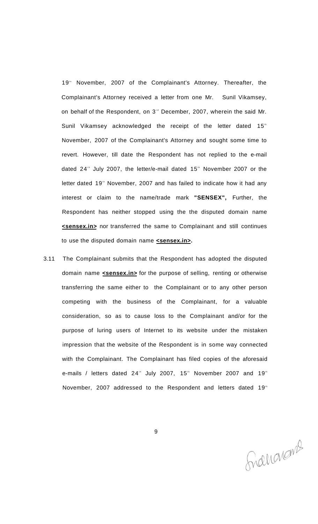19<sup>th</sup> November, 2007 of the Complainant's Attorney. Thereafter, the Complainant's Attorney received a letter from one Mr. Sunil Vikamsey, on behalf of the Respondent, on 3<sup>®</sup> December, 2007, wherein the said Mr. Sunil Vikamsey acknowledged the receipt of the letter dated 15<sup>th</sup> November, 2007 of the Complainant's Attorney and sought some time to revert. However, till date the Respondent has not replied to the e-mail dated 24<sup>th</sup> July 2007, the letter/e-mail dated 15<sup>th</sup> November 2007 or the letter dated 19<sup>th</sup> November, 2007 and has failed to indicate how it had any interest or claim to the name/trade mark **"SENSEX",** Further, the Respondent has neither stopped using the the disputed domain name **<sensex.in>** nor transferred the same to Complainant and still continues to use the disputed domain name **<sensex.in>.** 

3.11 The Complainant submits that the Respondent has adopted the disputed domain name **<sensex.in>** for the purpose of selling, renting or otherwise transferring the same either to the Complainant or to any other person competing with the business of the Complainant, for a valuable consideration, so as to cause loss to the Complainant and/or for the purpose of luring users of Internet to its website under the mistaken impression that the website of the Respondent is in some way connected with the Complainant. The Complainant has filed copies of the aforesaid e-mails / letters dated 24<sup>th</sup> July 2007, 15<sup>th</sup> November 2007 and 19<sup>th</sup> November, 2007 addressed to the Respondent and letters dated 19<sup>th</sup>

Franciens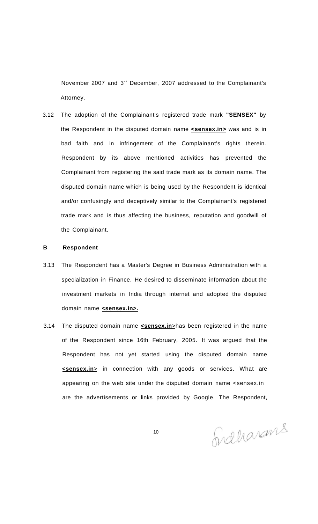November 2007 and 3<sup>"</sup> December, 2007 addressed to the Complainant's Attorney.

3.12 The adoption of the Complainant's registered trade mark **"SENSEX"** by the Respondent in the disputed domain name **<sensex.in>** was and is in bad faith and in infringement of the Complainant's rights therein. Respondent by its above mentioned activities has prevented the Complainant from registering the said trade mark as its domain name. The disputed domain name which is being used by the Respondent is identical and/or confusingly and deceptively similar to the Complainant's registered trade mark and is thus affecting the business, reputation and goodwill of the Complainant.

#### **B Respondent**

- 3.13 The Respondent has a Master's Degree in Business Administration with a specialization in Finance. He desired to disseminate information about the investment markets in India through internet and adopted the disputed domain name **<sensex.in>.**
- 3.14 The disputed domain name **<sensex.in**>has been registered in the name of the Respondent since 16th February, 2005. It was argued that the Respondent has not yet started using the disputed domain name **<sensex.in**> in connection with any goods or services. What are appearing on the web site under the disputed domain name <sensex.in are the advertisements or links provided by Google. The Respondent,

Sidharans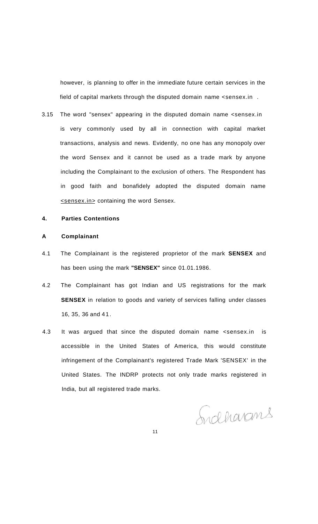however, is planning to offer in the immediate future certain services in the field of capital markets through the disputed domain name <sensex.in .

3.15 The word "sensex" appearing in the disputed domain name <sensex.in is very commonly used by all in connection with capital market transactions, analysis and news. Evidently, no one has any monopoly over the word Sensex and it cannot be used as a trade mark by anyone including the Complainant to the exclusion of others. The Respondent has in good faith and bonafidely adopted the disputed domain name <sensex.in> containing the word Sensex.

#### **4. Parties Contentions**

#### **A Complainant**

- 4.1 The Complainant is the registered proprietor of the mark **SENSEX** and has been using the mark **"SENSEX"** since 01.01.1986.
- 4.2 The Complainant has got Indian and US registrations for the mark **SENSEX** in relation to goods and variety of services falling under classes 16, 35, 36 and 41.
- 4.3 It was argued that since the disputed domain name <sensex.in is accessible in the United States of America, this would constitute infringement of the Complainant's registered Trade Mark 'SENSEX' in the United States. The INDRP protects not only trade marks registered in India, but all registered trade marks.

Sidharans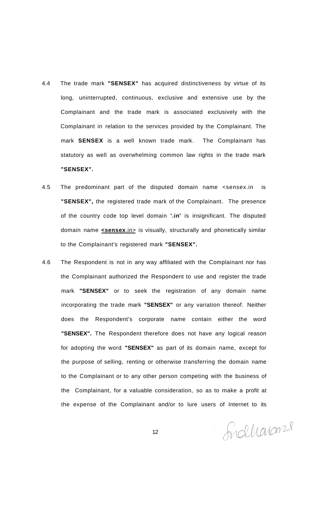- 4.4 The trade mark **"SENSEX"** has acquired distinctiveness by virtue of its long, uninterrupted, continuous, exclusive and extensive use by the Complainant and the trade mark is associated exclusively with the Complainant in relation to the services provided by the Complainant. The mark **SENSEX** is a well known trade mark. The Complainant has statutory as well as overwhelming common law rights in the trade mark **"SENSEX".**
- 4.5 The predominant part of the disputed domain name <sensex.in is **"SENSEX",** the registered trade mark of the Complainant. The presence of the country code top level domain **'.in'** is insignificant. The disputed domain name **<sensex**.in> is visually, structurally and phonetically similar to the Complainant's registered mark **"SENSEX".**
- 4.6 The Respondent is not in any way affiliated with the Complainant nor has the Complainant authorized the Respondent to use and register the trade mark **"SENSEX"** or to seek the registration of any domain name incorporating the trade mark **"SENSEX"** or any variation thereof. Neither does the Respondent's corporate name contain either the word **"SENSEX".** The Respondent therefore does not have any logical reason for adopting the word **"SENSEX"** as part of its domain name, except for the purpose of selling, renting or otherwise transferring the domain name to the Complainant or to any other person competing with the business of the Complainant, for a valuable consideration, so as to make a profit at the expense of the Complainant and/or to lure users of Internet to its

Sidharans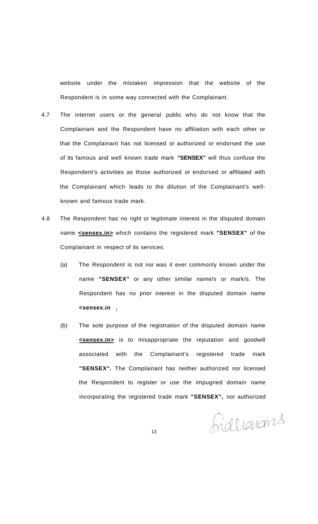website under the mistaken impression that the website of the Respondent is in some way connected with the Complainant.

- 4.7 The internet users or the general public who do not know that the Complainant and the Respondent have no affiliation with each other or that the Complainant has not licensed or authorized or endorsed the use of its famous and well known trade mark **"SENSEX"** will thus confuse the Respondent's activities as those authorized or endorsed or affiliated with the Complainant which leads to the dilution of the Complainant's wellknown and famous trade mark.
- 4.8 The Respondent has no right or legitimate interest in the disputed domain name **<sensex.in>** which contains the registered mark **"SENSEX"** of the Complainant in respect of its services.
	- (a) The Respondent is not nor was it ever commonly known under the name **"SENSEX"** or any other similar name/s or mark/s. The Respondent has no prior interest in the disputed domain name **<sensex.in .**
	- (b) The sole purpose of the registration of the disputed domain name **<sensex.in>** is to misappropriate the reputation and goodwill associated with the Complainant's registered trade mark **"SENSEX".** The Complainant has neither authorized nor licensed the Respondent to register or use the impugned domain name incorporating the registered trade mark **"SENSEX",** nor authorized

Indlianans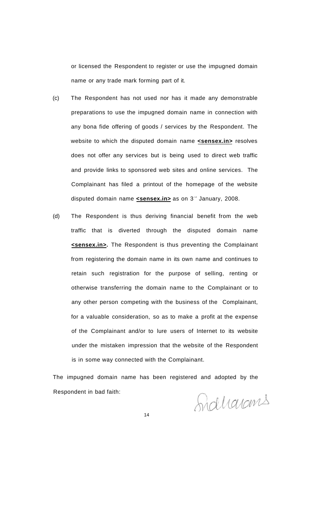or licensed the Respondent to register or use the impugned domain name or any trade mark forming part of it.

- (c) The Respondent has not used nor has it made any demonstrable preparations to use the impugned domain name in connection with any bona fide offering of goods / services by the Respondent. The website to which the disputed domain name **<sensex.in>** resolves does not offer any services but is being used to direct web traffic and provide links to sponsored web sites and online services. The Complainant has filed a printout of the homepage of the website disputed domain name **<sensex.in>** as on 3<sup>re</sup> January, 2008.
- (d) The Respondent is thus deriving financial benefit from the web traffic that is diverted through the disputed domain name **<sensex.in>.** The Respondent is thus preventing the Complainant from registering the domain name in its own name and continues to retain such registration for the purpose of selling, renting or otherwise transferring the domain name to the Complainant or to any other person competing with the business of the Complainant, for a valuable consideration, so as to make a profit at the expense of the Complainant and/or to lure users of Internet to its website under the mistaken impression that the website of the Respondent is in some way connected with the Complainant.

The impugned domain name has been registered and adopted by the Respondent in bad faith:

Sidharans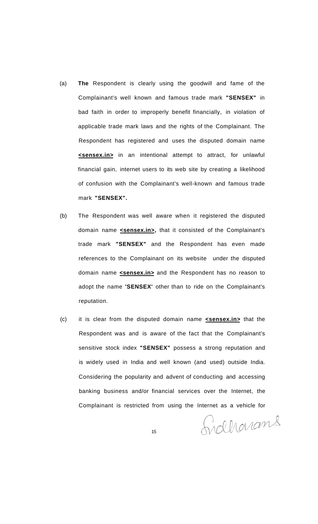- (a) **The** Respondent is clearly using the goodwill and fame of the Complainant's well known and famous trade mark **"SENSEX"** in bad faith in order to improperly benefit financially, in violation of applicable trade mark laws and the rights of the Complainant. The Respondent has registered and uses the disputed domain name **<sensex.in>** in an intentional attempt to attract, for unlawful financial gain, internet users to its web site by creating a likelihood of confusion with the Complainant's well-known and famous trade mark **"SENSEX".**
- (b) The Respondent was well aware when it registered the disputed domain name **<sensex.in>,** that it consisted of the Complainant's trade mark **"SENSEX"** and the Respondent has even made references to the Complainant on its website under the disputed domain name **<sensex.in>** and the Respondent has no reason to adopt the name **'SENSEX'** other than to ride on the Complainant's reputation.
- (c) it is clear from the disputed domain name **<sensex.in>** that the Respondent was and is aware of the fact that the Complainant's sensitive stock index **"SENSEX"** possess a strong reputation and is widely used in India and well known (and used) outside India. Considering the popularity and advent of conducting and accessing banking business and/or financial services over the Internet, the Complainant is restricted from using the Internet as a vehicle for

Sidharans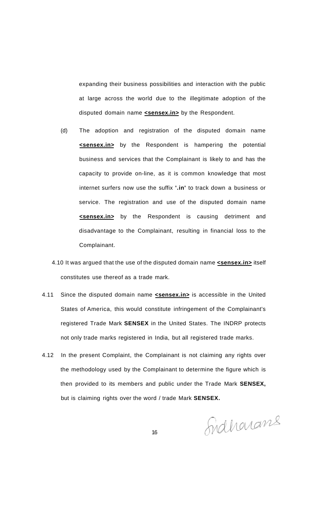expanding their business possibilities and interaction with the public at large across the world due to the illegitimate adoption of the disputed domain name **<sensex.in>** by the Respondent.

- (d) The adoption and registration of the disputed domain name **<sensex.in>** by the Respondent is hampering the potential business and services that the Complainant is likely to and has the capacity to provide on-line, as it is common knowledge that most internet surfers now use the suffix **'.in'** to track down a business or service. The registration and use of the disputed domain name **<sensex.in>** by the Respondent is causing detriment and disadvantage to the Complainant, resulting in financial loss to the Complainant.
- 4.10 It was argued that the use of the disputed domain name **<sensex.in>** itself constitutes use thereof as a trade mark.
- 4.11 Since the disputed domain name **<sensex.in>** is accessible in the United States of America, this would constitute infringement of the Complainant's registered Trade Mark **SENSEX** in the United States. The INDRP protects not only trade marks registered in India, but all registered trade marks.
- 4.12 In the present Complaint, the Complainant is not claiming any rights over the methodology used by the Complainant to determine the figure which is then provided to its members and public under the Trade Mark **SENSEX,**  but is claiming rights over the word / trade Mark **SENSEX.**

Sidhonans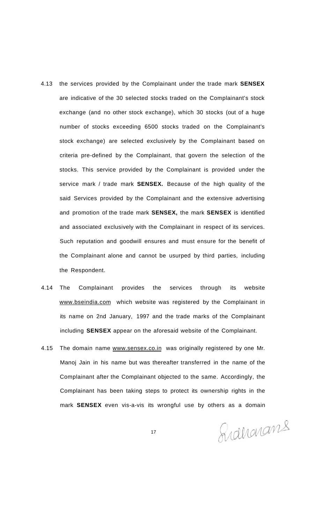- 4.13 the services provided by the Complainant under the trade mark **SENSEX**  are indicative of the 30 selected stocks traded on the Complainant's stock exchange (and no other stock exchange), which 30 stocks (out of a huge number of stocks exceeding 6500 stocks traded on the Complainant's stock exchange) are selected exclusively by the Complainant based on criteria pre-defined by the Complainant, that govern the selection of the stocks. This service provided by the Complainant is provided under the service mark / trade mark **SENSEX.** Because of the high quality of the said Services provided by the Complainant and the extensive advertising and promotion of the trade mark **SENSEX,** the mark **SENSEX** is identified and associated exclusively with the Complainant in respect of its services. Such reputation and goodwill ensures and must ensure for the benefit of the Complainant alone and cannot be usurped by third parties, including the Respondent.
- 4.14 The Complainant provides the services through its website [www.bseindia.com w](http://www.bseindia.com)hich website was registered by the Complainant in its name on 2nd January, 1997 and the trade marks of the Complainant including **SENSEX** appear on the aforesaid website of the Complainant.
- 4.15 The domain name [www.sensex.co.in w](http://www.sensex.co.in)as originally registered by one Mr. Manoj Jain in his name but was thereafter transferred in the name of the Complainant after the Complainant objected to the same. Accordingly, the Complainant has been taking steps to protect its ownership rights in the mark **SENSEX** even vis-a-vis its wrongful use by others as a domain

Ridharans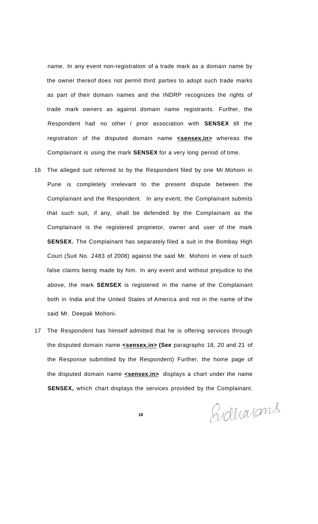name. In any event non-registration of a trade mark as a domain name by the owner thereof does not permit third parties to adopt such trade marks as part of their domain names and the INDRP recognizes the rights of trade mark owners as against domain name registrants. Further, the Respondent had no other / prior association with **SENSEX** till the registration of the disputed domain name **<sensex.in>** whereas the Complainant is using the mark **SENSEX** for a very long period of time.

- 16 The alleged suit referred to by the Respondent filed by one Mr.Mohoni in Pune is completely irrelevant to the present dispute between the Complainant and the Respondent. In any event, the Complainant submits that such suit, if any, shall be defended by the Complainant as the Complainant is the registered proprietor, owner and user of the mark **SENSEX.** The Complainant has separately filed a suit in the Bombay High Court (Suit No. 2483 of 2008) against the said Mr. Mohoni in view of such false claims being made by him. In any event and without prejudice to the above, the mark **SENSEX** is registered in the name of the Complainant both in India and the United States of America and not in the name of the said Mr. Deepak Mohoni.
- 17 The Respondent has himself admitted that he is offering services through the disputed domain name **<sensex.in> (See** paragraphs 18, 20 and 21 of the Response submitted by the Respondent) Further, the home page of the disputed domain name **<sensex.in>** displays a chart under the name **SENSEX,** which chart displays the services provided by the Complainant.

Gidharans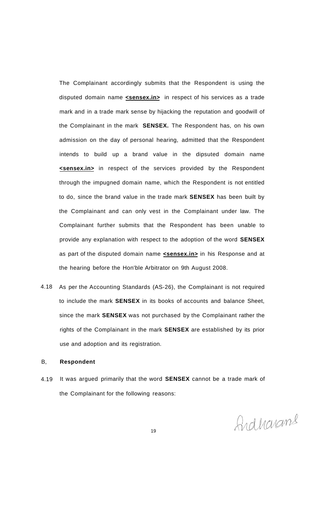The Complainant accordingly submits that the Respondent is using the disputed domain name **<sensex.in>** in respect of his services as a trade mark and in a trade mark sense by hijacking the reputation and goodwill of the Complainant in the mark **SENSEX.** The Respondent has, on his own admission on the day of personal hearing, admitted that the Respondent intends to build up a brand value in the dipsuted domain name **<sensex.in>** in respect of the services provided by the Respondent through the impugned domain name, which the Respondent is not entitled to do, since the brand value in the trade mark **SENSEX** has been built by the Complainant and can only vest in the Complainant under law. The Complainant further submits that the Respondent has been unable to provide any explanation with respect to the adoption of the word **SENSEX**  as part of the disputed domain name **<sensex.in>** in his Response and at the hearing before the Hon'ble Arbitrator on 9th August 2008.

4.18 As per the Accounting Standards (AS-26), the Complainant is not required to include the mark **SENSEX** in its books of accounts and balance Sheet, since the mark **SENSEX** was not purchased by the Complainant rather the rights of the Complainant in the mark **SENSEX** are established by its prior use and adoption and its registration.

#### B, **Respondent**

4.19 It was argued primarily that the word **SENSEX** cannot be a trade mark of the Complainant for the following reasons:

Ardharans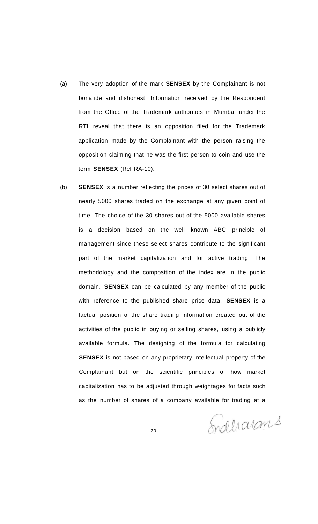- (a) The very adoption of the mark **SENSEX** by the Complainant is not bonafide and dishonest. Information received by the Respondent from the Office of the Trademark authorities in Mumbai under the RTI reveal that there is an opposition filed for the Trademark application made by the Complainant with the person raising the opposition claiming that he was the first person to coin and use the term **SENSEX** (Ref RA-10).
- (b) **SENSEX** is a number reflecting the prices of 30 select shares out of nearly 5000 shares traded on the exchange at any given point of time. The choice of the 30 shares out of the 5000 available shares is a decision based on the well known ABC principle of management since these select shares contribute to the significant part of the market capitalization and for active trading. The methodology and the composition of the index are in the public domain. **SENSEX** can be calculated by any member of the public with reference to the published share price data. **SENSEX** is a factual position of the share trading information created out of the activities of the public in buying or selling shares, using a publicly available formula. The designing of the formula for calculating **SENSEX** is not based on any proprietary intellectual property of the Complainant but on the scientific principles of how market capitalization has to be adjusted through weightages for facts such as the number of shares of a company available for trading at a

Indharans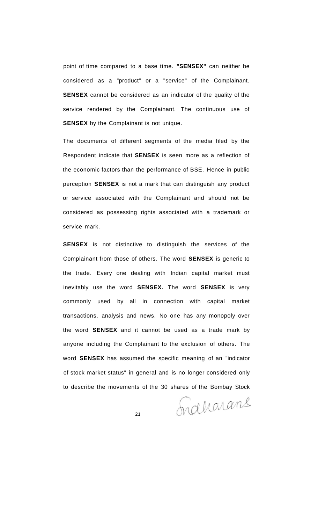point of time compared to a base time. **"SENSEX"** can neither be considered as a "product" or a "service" of the Complainant. **SENSEX** cannot be considered as an indicator of the quality of the service rendered by the Complainant. The continuous use of **SENSEX** by the Complainant is not unique.

The documents of different segments of the media filed by the Respondent indicate that **SENSEX** is seen more as a reflection of the economic factors than the performance of BSE. Hence in public perception **SENSEX** is not a mark that can distinguish any product or service associated with the Complainant and should not be considered as possessing rights associated with a trademark or service mark.

**SENSEX** is not distinctive to distinguish the services of the Complainant from those of others. The word **SENSEX** is generic to the trade. Every one dealing with Indian capital market must inevitably use the word **SENSEX.** The word **SENSEX** is very commonly used by all in connection with capital market transactions, analysis and news. No one has any monopoly over the word **SENSEX** and it cannot be used as a trade mark by anyone including the Complainant to the exclusion of others. The word **SENSEX** has assumed the specific meaning of an "indicator of stock market status" in general and is no longer considered only to describe the movements of the 30 shares of the Bombay Stock

Indergrand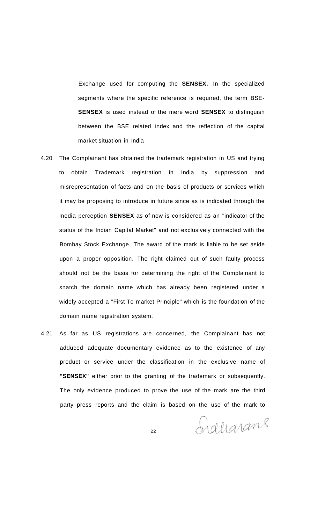Exchange used for computing the **SENSEX.** In the specialized segments where the specific reference is required, the term BSE-**SENSEX** is used instead of the mere word **SENSEX** to distinguish between the BSE related index and the reflection of the capital market situation in India

- 4.20 The Complainant has obtained the trademark registration in US and trying to obtain Trademark registration in India by suppression and misrepresentation of facts and on the basis of products or services which it may be proposing to introduce in future since as is indicated through the media perception **SENSEX** as of now is considered as an "indicator of the status of the Indian Capital Market" and not exclusively connected with the Bombay Stock Exchange. The award of the mark is liable to be set aside upon a proper opposition. The right claimed out of such faulty process should not be the basis for determining the right of the Complainant to snatch the domain name which has already been registered under a widely accepted a "First To market Principle" which is the foundation of the domain name registration system.
- 4.21 As far as US registrations are concerned, the Complainant has not adduced adequate documentary evidence as to the existence of any product or service under the classification in the exclusive name of **"SENSEX"** either prior to the granting of the trademark or subsequently. The only evidence produced to prove the use of the mark are the third party press reports and the claim is based on the use of the mark to

Induarans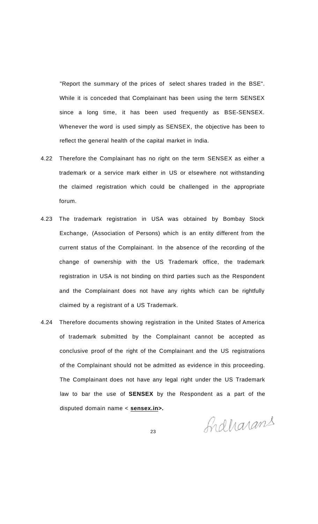"Report the summary of the prices of select shares traded in the BSE". While it is conceded that Complainant has been using the term SENSEX since a long time, it has been used frequently as BSE-SENSEX. Whenever the word is used simply as SENSEX, the objective has been to reflect the general health of the capital market in India.

- 4.22 Therefore the Complainant has no right on the term SENSEX as either a trademark or a service mark either in US or elsewhere not withstanding the claimed registration which could be challenged in the appropriate forum.
- 4.23 The trademark registration in USA was obtained by Bombay Stock Exchange, (Association of Persons) which is an entity different from the current status of the Complainant. In the absence of the recording of the change of ownership with the US Trademark office, the trademark registration in USA is not binding on third parties such as the Respondent and the Complainant does not have any rights which can be rightfully claimed by a registrant of a US Trademark.
- 4.24 Therefore documents showing registration in the United States of America of trademark submitted by the Complainant cannot be accepted as conclusive proof of the right of the Complainant and the US registrations of the Complainant should not be admitted as evidence in this proceeding. The Complainant does not have any legal right under the US Trademark law to bar the use of **SENSEX** by the Respondent as a part of the disputed domain name < **sensex.in>.**

Indharans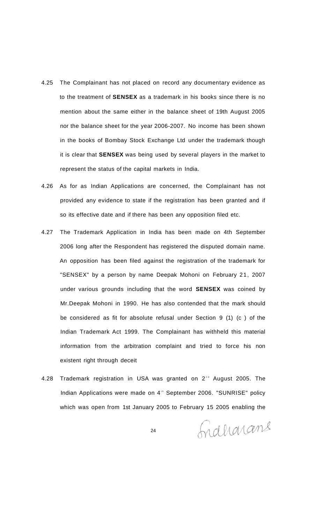- 4.25 The Complainant has not placed on record any documentary evidence as to the treatment of **SENSEX** as a trademark in his books since there is no mention about the same either in the balance sheet of 19th August 2005 nor the balance sheet for the year 2006-2007. No income has been shown in the books of Bombay Stock Exchange Ltd under the trademark though it is clear that **SENSEX** was being used by several players in the market to represent the status of the capital markets in India.
- 4.26 As for as Indian Applications are concerned, the Complainant has not provided any evidence to state if the registration has been granted and if so its effective date and if there has been any opposition filed etc.
- 4.27 The Trademark Application in India has been made on 4th September 2006 long after the Respondent has registered the disputed domain name. An opposition has been filed against the registration of the trademark for "SENSEX" by a person by name Deepak Mohoni on February 21, 2007 under various grounds including that the word **SENSEX** was coined by Mr.Deepak Mohoni in 1990. He has also contended that the mark should be considered as fit for absolute refusal under Section 9 (1) (c ) of the Indian Trademark Act 1999. The Complainant has withheld this material information from the arbitration complaint and tried to force his non existent right through deceit
- 4.28 Trademark registration in USA was granted on 2<sup>®</sup> August 2005. The Indian Applications were made on 4<sup>th</sup> September 2006. "SUNRISE" policy which was open from 1st January 2005 to February 15 2005 enabling the

Indharans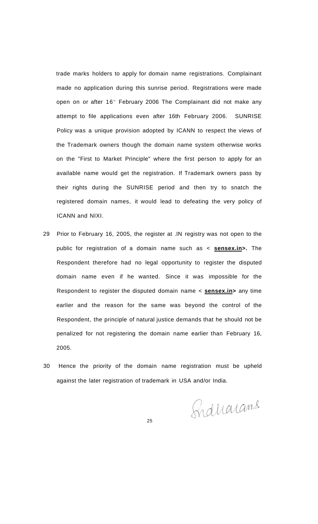trade marks holders to apply for domain name registrations. Complainant made no application during this sunrise period. Registrations were made open on or after 16<sup>th</sup> February 2006 The Complainant did not make any attempt to file applications even after 16th February 2006. SUNRISE Policy was a unique provision adopted by ICANN to respect the views of the Trademark owners though the domain name system otherwise works on the "First to Market Principle" where the first person to apply for an available name would get the registration. If Trademark owners pass by their rights during the SUNRISE period and then try to snatch the registered domain names, it would lead to defeating the very policy of ICANN and NIXI.

- 29 Prior to February 16, 2005, the register at .IN registry was not open to the public for registration of a domain name such as < **sensex.in>.** The Respondent therefore had no legal opportunity to register the disputed domain name even if he wanted. Since it was impossible for the Respondent to register the disputed domain name < **sensex.in>** any time earlier and the reason for the same was beyond the control of the Respondent, the principle of natural justice demands that he should not be penalized for not registering the domain name earlier than February 16, 2005.
- 30 Hence the priority of the domain name registration must be upheld against the later registration of trademark in USA and/or India.

Sidrarans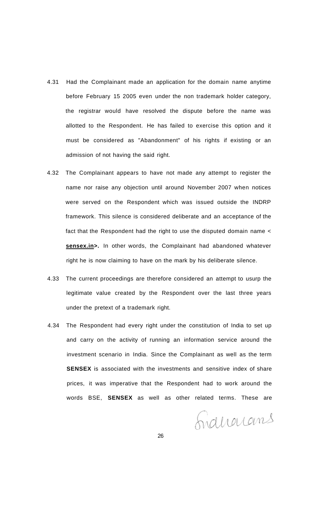- 4.31 Had the Complainant made an application for the domain name anytime before February 15 2005 even under the non trademark holder category, the registrar would have resolved the dispute before the name was allotted to the Respondent. He has failed to exercise this option and it must be considered as "Abandonment" of his rights if existing or an admission of not having the said right.
- 4.32 The Complainant appears to have not made any attempt to register the name nor raise any objection until around November 2007 when notices were served on the Respondent which was issued outside the INDRP framework. This silence is considered deliberate and an acceptance of the fact that the Respondent had the right to use the disputed domain name < sensex.in>. In other words, the Complainant had abandoned whatever right he is now claiming to have on the mark by his deliberate silence.
- 4.33 The current proceedings are therefore considered an attempt to usurp the legitimate value created by the Respondent over the last three years under the pretext of a trademark right.
- 4.34 The Respondent had every right under the constitution of India to set up and carry on the activity of running an information service around the investment scenario in India. Since the Complainant as well as the term **SENSEX** is associated with the investments and sensitive index of share prices, it was imperative that the Respondent had to work around the words BSE, **SENSEX** as well as other related terms. These are

Indianans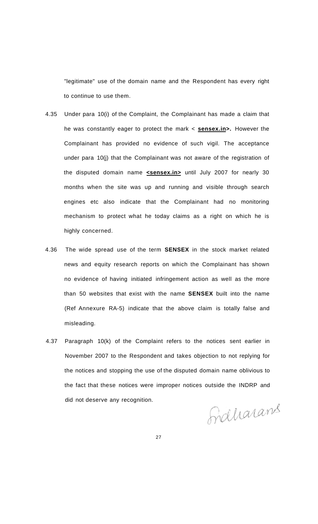"legitimate" use of the domain name and the Respondent has every right to continue to use them.

- 4.35 Under para 10(i) of the Complaint, the Complainant has made a claim that he was constantly eager to protect the mark < **sensex.in>.** However the Complainant has provided no evidence of such vigil. The acceptance under para 10(j) that the Complainant was not aware of the registration of the disputed domain name **<sensex.in>** until July 2007 for nearly 30 months when the site was up and running and visible through search engines etc also indicate that the Complainant had no monitoring mechanism to protect what he today claims as a right on which he is highly concerned.
- 4.36 The wide spread use of the term **SENSEX** in the stock market related news and equity research reports on which the Complainant has shown no evidence of having initiated infringement action as well as the more than 50 websites that exist with the name **SENSEX** built into the name (Ref Annexure RA-5) indicate that the above claim is totally false and misleading.
- 4.37 Paragraph 10(k) of the Complaint refers to the notices sent earlier in November 2007 to the Respondent and takes objection to not replying for the notices and stopping the use of the disputed domain name oblivious to the fact that these notices were improper notices outside the INDRP and did not deserve any recognition.

Fraharans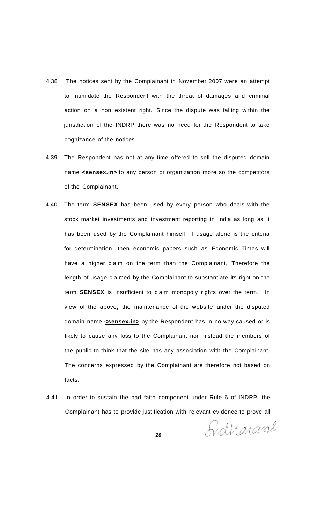- 4.38 The notices sent by the Complainant in November 2007 were an attempt to intimidate the Respondent with the threat of damages and criminal action on a non existent right. Since the dispute was falling within the jurisdiction of the INDRP there was no need for the Respondent to take cognizance of the notices
- 4.39 The Respondent has not at any time offered to sell the disputed domain name **sensex.in>** to any person or organization more so the competitors of the Complainant.
- 4.40 The term **SENSEX** has been used by every person who deals with the stock market investments and investment reporting in India as long as it has been used by the Complainant himself. If usage alone is the criteria for determination, then economic papers such as Economic Times will have a higher claim on the term than the Complainant, Therefore the length of usage claimed by the Complainant to substantiate its right on the term **SENSEX** is insufficient to claim monopoly rights over the term. In view of the above, the maintenance of the website under the disputed domain name **<sensex.in>** by the Respondent has in no way caused or is likely to cause any loss to the Complainant nor mislead the members of the public to think that the site has any association with the Complainant. The concerns expressed by the Complainant are therefore not based on facts.
- 4.41 In order to sustain the bad faith component under Rule 6 of INDRP, the Complainant has to provide justification with relevant evidence to prove all

Sydharame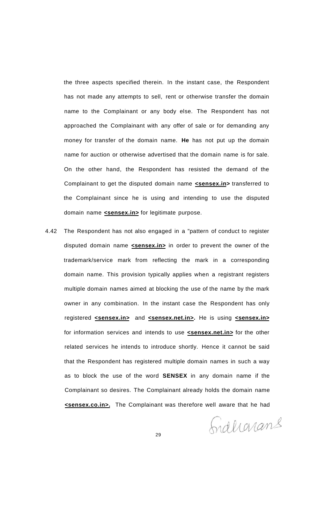the three aspects specified therein. In the instant case, the Respondent has not made any attempts to sell, rent or otherwise transfer the domain name to the Complainant or any body else. The Respondent has not approached the Complainant with any offer of sale or for demanding any money for transfer of the domain name. **He** has not put up the domain name for auction or otherwise advertised that the domain name is for sale. On the other hand, the Respondent has resisted the demand of the Complainant to get the disputed domain name **<sensex.in>** transferred to the Complainant since he is using and intending to use the disputed domain name **<sensex.in>** for legitimate purpose.

4.42 The Respondent has not also engaged in a "pattern of conduct to register disputed domain name **<sensex.in>** in order to prevent the owner of the trademark/service mark from reflecting the mark in a corresponding domain name. This provision typically applies when a registrant registers multiple domain names aimed at blocking the use of the name by the mark owner in any combination. In the instant case the Respondent has only registered **<sensex.in>** and **<sensex.net.in>.** He is using **<sensex.in>**  for information services and intends to use **<sensex.net.in>** for the other related services he intends to introduce shortly. Hence it cannot be said that the Respondent has registered multiple domain names in such a way as to block the use of the word **SENSEX** in any domain name if the Complainant so desires. The Complainant already holds the domain name **<sensex.co.in>.** The Complainant was therefore well aware that he had

Induarians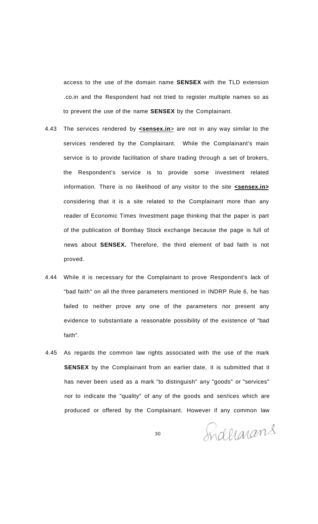access to the use of the domain name **SENSEX** with the TLD extension .co.in and the Respondent had not tried to register multiple names so as to prevent the use of the name **SENSEX** by the Complainant.

- 4.43 The services rendered by **<sensex.in**> are not in any way similar to the services rendered by the Complainant. While the Complainant's main service is to provide facilitation of share trading through a set of brokers, the Respondent's service is to provide some investment related information. There is no likelihood of any visitor to the site **<sensex.in>** considering that it is a site related to the Complainant more than any reader of Economic Times Investment page thinking that the paper is part of the publication of Bombay Stock exchange because the page is full of news about **SENSEX.** Therefore, the third element of bad faith is not proved.
- 4.44 While it is necessary for the Complainant to prove Respondent's lack of "bad faith" on all the three parameters mentioned in INDRP Rule 6, he has failed to neither prove any one of the parameters nor present any evidence to substantiate a reasonable possibility of the existence of "bad faith".
- 4.45 As regards the common law rights associated with the use of the mark **SENSEX** by the Complainant from an earlier date, it is submitted that it has never been used as a mark "to distinguish" any "goods" or "services" nor to indicate the "quality" of any of the goods and sen/ices which are produced or offered by the Complainant. However if any common law

Indergrams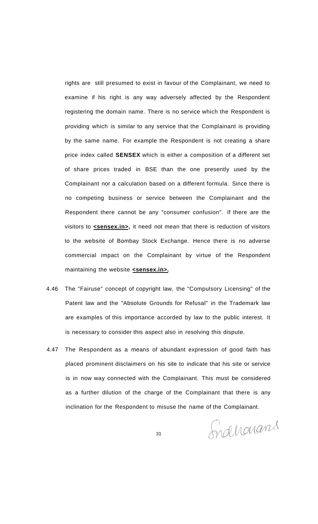rights are still presumed to exist in favour of the Complainant, we need to examine if his right is any way adversely affected by the Respondent registering the domain name. There is no service which the Respondent is providing which is similar to any service that the Complainant is providing by the same name. For example the Respondent is not creating a share price index called **SENSEX** which is either a composition of a different set of share prices traded in BSE than the one presently used by the Complainant nor a calculation based on a different formula. Since there is no competing business or service between the Complainant and the Respondent there cannot be any "consumer confusion". If there are the visitors to **<sensex.in>**, it need not mean that there is reduction of visitors to the website of Bombay Stock Exchange. Hence there is no adverse commercial impact on the Complainant by virtue of the Respondent maintaining the website **<sensex.in>.** 

- 4.46 The "Fairuse" concept of copyright law, the "Compulsory Licensing" of the Patent law and the "Absolute Grounds for Refusal" in the Trademark law are examples of this importance accorded by law to the public interest. It is necessary to consider this aspect also in resolving this dispute.
- 4.47 The Respondent as a means of abundant expression of good faith has placed prominent disclaimers on his site to indicate that his site or service is in now way connected with the Complainant. This must be considered as a further dilution of the charge of the Complainant that there is any inclination for the Respondent to misuse the name of the Complainant.

Indharans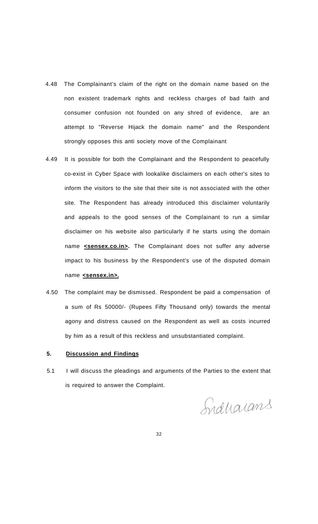- 4.48 The Complainant's claim of the right on the domain name based on the non existent trademark rights and reckless charges of bad faith and consumer confusion not founded on any shred of evidence, are an attempt to "Reverse Hijack the domain name" and the Respondent strongly opposes this anti society move of the Complainant
- 4.49 It is possible for both the Complainant and the Respondent to peacefully co-exist in Cyber Space with lookalike disclaimers on each other's sites to inform the visitors to the site that their site is not associated with the other site. The Respondent has already introduced this disclaimer voluntarily and appeals to the good senses of the Complainant to run a similar disclaimer on his website also particularly if he starts using the domain name **sensex.co.in>**. The Complainant does not suffer any adverse impact to his business by the Respondent's use of the disputed domain name **<sensex.in>.**
- 4.50 The complaint may be dismissed. Respondent be paid a compensation of a sum of Rs 50000/- (Rupees Fifty Thousand only) towards the mental agony and distress caused on the Respondent as well as costs incurred by him as a result of this reckless and unsubstantiated complaint.

#### **5. Discussion and Findings**

5.1 I will discuss the pleadings and arguments of the Parties to the extent that is required to answer the Complaint.

Sidharans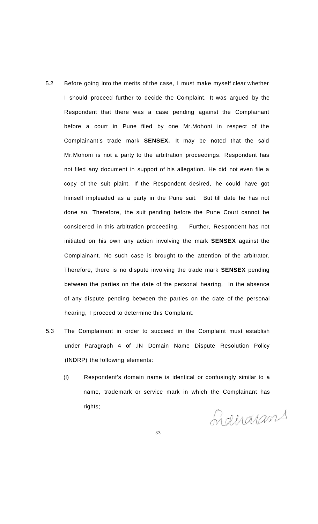- 5.2 Before going into the merits of the case, I must make myself clear whether I should proceed further to decide the Complaint. It was argued by the Respondent that there was a case pending against the Complainant before a court in Pune filed by one Mr.Mohoni in respect of the Complainant's trade mark **SENSEX.** It may be noted that the said Mr.Mohoni is not a party to the arbitration proceedings. Respondent has not filed any document in support of his allegation. He did not even file a copy of the suit plaint. If the Respondent desired, he could have got himself impleaded as a party in the Pune suit. But till date he has not done so. Therefore, the suit pending before the Pune Court cannot be considered in this arbitration proceeding. Further, Respondent has not initiated on his own any action involving the mark **SENSEX** against the Complainant. No such case is brought to the attention of the arbitrator. Therefore, there is no dispute involving the trade mark **SENSEX** pending between the parties on the date of the personal hearing. In the absence of any dispute pending between the parties on the date of the personal hearing, I proceed to determine this Complaint.
- 5.3 The Complainant in order to succeed in the Complaint must establish under Paragraph 4 of .IN Domain Name Dispute Resolution Policy (INDRP) the following elements:
	- (I) Respondent's domain name is identical or confusingly similar to a name, trademark or service mark in which the Complainant has rights;

Graerarans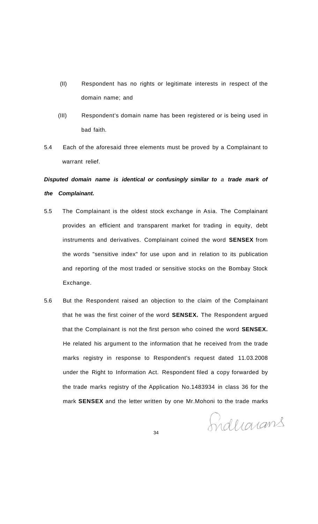- (II) Respondent has no rights or legitimate interests in respect of the domain name; and
- (III) Respondent's domain name has been registered or is being used in bad faith.
- 5.4 Each of the aforesaid three elements must be proved by a Complainant to warrant relief.

# **Disputed domain name is identical or confusingly similar to** a **trade mark of the Complainant.**

- 5.5 The Complainant is the oldest stock exchange in Asia. The Complainant provides an efficient and transparent market for trading in equity, debt instruments and derivatives. Complainant coined the word **SENSEX** from the words "sensitive index" for use upon and in relation to its publication and reporting of the most traded or sensitive stocks on the Bombay Stock Exchange.
- 5.6 But the Respondent raised an objection to the claim of the Complainant that he was the first coiner of the word **SENSEX.** The Respondent argued that the Complainant is not the first person who coined the word **SENSEX.**  He related his argument to the information that he received from the trade marks registry in response to Respondent's request dated 11.03.2008 under the Right to Information Act. Respondent filed a copy forwarded by the trade marks registry of the Application No.1483934 in class 36 for the mark **SENSEX** and the letter written by one Mr.Mohoni to the trade marks

Induarans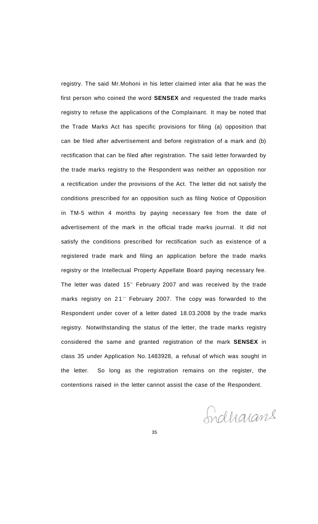registry. The said Mr.Mohoni in his letter claimed inter alia that he was the first person who coined the word **SENSEX** and requested the trade marks registry to refuse the applications of the Complainant. It may be noted that the Trade Marks Act has specific provisions for filing (a) opposition that can be filed after advertisement and before registration of a mark and (b) rectification that can be filed after registration. The said letter forwarded by the trade marks registry to the Respondent was neither an opposition nor a rectification under the provisions of the Act. The letter did not satisfy the conditions prescribed for an opposition such as filing Notice of Opposition in TM-5 within 4 months by paying necessary fee from the date of advertisement of the mark in the official trade marks journal. It did not satisfy the conditions prescribed for rectification such as existence of a registered trade mark and filing an application before the trade marks registry or the Intellectual Property Appellate Board paying necessary fee. The letter was dated 15<sup>th</sup> February 2007 and was received by the trade marks registry on 21<sup>st</sup> February 2007. The copy was forwarded to the Respondent under cover of a letter dated 18.03.2008 by the trade marks registry. Notwithstanding the status of the letter, the trade marks registry considered the same and granted registration of the mark **SENSEX** in class 35 under Application No. 1483928, a refusal of which was sought in the letter. So long as the registration remains on the register, the contentions raised in the letter cannot assist the case of the Respondent.

Indharans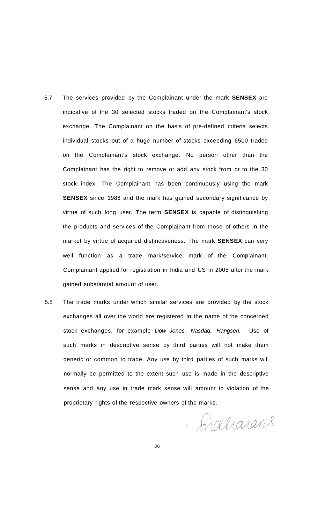- 5.7 The services provided by the Complainant under the mark **SENSEX** are indicative of the 30 selected stocks traded on the Complainant's stock exchange. The Complainant on the basis of pre-defined criteria selects individual stocks out of a huge number of stocks exceeding 6500 traded on the Complainant's stock exchange. No person other than the Complainant has the right to remove or add any stock from or to the 30 stock index. The Complainant has been continuously using the mark **SENSEX** since 1986 and the mark has gained secondary significance by virtue of such long user. The term **SENSEX** is capable of distinguishing the products and services of the Complainant from those of others in the market by virtue of acquired distinctiveness. The mark **SENSEX** can very well function as a trade mark/service mark of the Complainant. Complainant applied for registration in India and US in 2005 after the mark gained substantial amount of user.
- 5.8 The trade marks under which similar services are provided by the stock exchanges all over the world are registered in the name of the concerned stock exchanges, for example Dow Jones, Nasdaq, Hangsen. Use of such marks in descriptive sense by third parties will not make them generic or common to trade. Any use by third parties of such marks will normally be permitted to the extent such use is made in the descriptive sense and any use in trade mark sense will amount to violation of the proprietary rights of the respective owners of the marks.

Indharans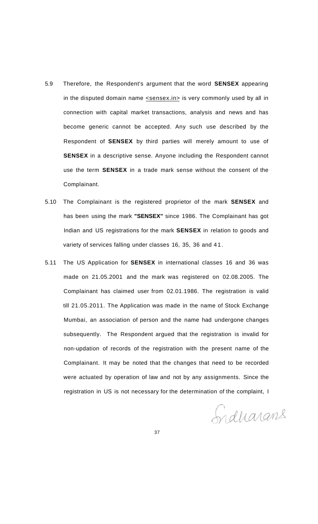- 5.9 Therefore, the Respondent's argument that the word **SENSEX** appearing in the disputed domain name  $\leq$ sensex.in is very commonly used by all in connection with capital market transactions, analysis and news and has become generic cannot be accepted. Any such use described by the Respondent of **SENSEX** by third parties will merely amount to use of **SENSEX** in a descriptive sense. Anyone including the Respondent cannot use the term **SENSEX** in a trade mark sense without the consent of the Complainant.
- 5.10 The Complainant is the registered proprietor of the mark **SENSEX** and has been using the mark **"SENSEX"** since 1986. The Complainant has got Indian and US registrations for the mark **SENSEX** in relation to goods and variety of services falling under classes 16, 35, 36 and 41.
- 5.11 The US Application for **SENSEX** in international classes 16 and 36 was made on 21.05.2001 and the mark was registered on 02.08.2005. The Complainant has claimed user from 02.01.1986. The registration is valid till 21.05.2011. The Application was made in the name of Stock Exchange Mumbai, an association of person and the name had undergone changes subsequently. The Respondent argued that the registration is invalid for non-updation of records of the registration with the present name of the Complainant. It may be noted that the changes that need to be recorded were actuated by operation of law and not by any assignments. Since the registration in US is not necessary for the determination of the complaint, I

Siduarans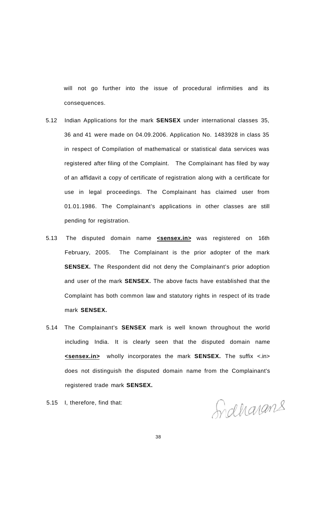will not go further into the issue of procedural infirmities and its consequences.

- 5.12 Indian Applications for the mark **SENSEX** under international classes 35, 36 and 41 were made on 04.09.2006. Application No. 1483928 in class 35 in respect of Compilation of mathematical or statistical data services was registered after filing of the Complaint. The Complainant has filed by way of an affidavit a copy of certificate of registration along with a certificate for use in legal proceedings. The Complainant has claimed user from 01.01.1986. The Complainant's applications in other classes are still pending for registration.
- 5.13 The disputed domain name **<sensex.in>** was registered on 16th February, 2005. The Complainant is the prior adopter of the mark **SENSEX.** The Respondent did not deny the Complainant's prior adoption and user of the mark **SENSEX.** The above facts have established that the Complaint has both common law and statutory rights in respect of its trade mark **SENSEX.**
- 5.14 The Complainant's **SENSEX** mark is well known throughout the world including India. It is clearly seen that the disputed domain name **<sensex.in>** wholly incorporates the mark **SENSEX.** The suffix <.in> does not distinguish the disputed domain name from the Complainant's registered trade mark **SENSEX.**
- 5.15 I, therefore, find that:

Indharans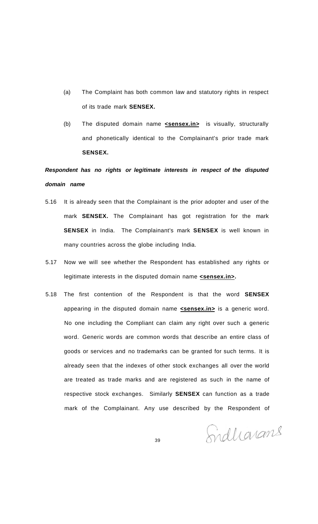- (a) The Complaint has both common law and statutory rights in respect of its trade mark **SENSEX.**
- (b) The disputed domain name **<sensex.in>** is visually, structurally and phonetically identical to the Complainant's prior trade mark **SENSEX.**

# **Respondent has no rights or legitimate interests in respect of the disputed domain name**

- 5.16 It is already seen that the Complainant is the prior adopter and user of the mark **SENSEX.** The Complainant has got registration for the mark **SENSEX** in India. The Complainant's mark **SENSEX** is well known in many countries across the globe including India.
- 5.17 Now we will see whether the Respondent has established any rights or legitimate interests in the disputed domain name **<sensex.in>**.
- 5.18 The first contention of the Respondent is that the word **SENSEX**  appearing in the disputed domain name **sensex.in>** is a generic word. No one including the Compliant can claim any right over such a generic word. Generic words are common words that describe an entire class of goods or services and no trademarks can be granted for such terms. It is already seen that the indexes of other stock exchanges all over the world are treated as trade marks and are registered as such in the name of respective stock exchanges. Similarly **SENSEX** can function as a trade mark of the Complainant. Any use described by the Respondent of

Sidharans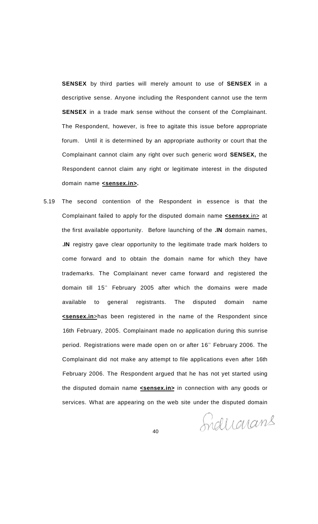**SENSEX** by third parties will merely amount to use of **SENSEX** in a descriptive sense. Anyone including the Respondent cannot use the term **SENSEX** in a trade mark sense without the consent of the Complainant. The Respondent, however, is free to agitate this issue before appropriate forum. Until it is determined by an appropriate authority or court that the Complainant cannot claim any right over such generic word **SENSEX,** the Respondent cannot claim any right or legitimate interest in the disputed domain name **<sensex.in>.** 

5.19 The second contention of the Respondent in essence is that the Complainant failed to apply for the disputed domain name **<sensex**.in> at the first available opportunity. Before launching of the **.IN** domain names, **.IN** registry gave clear opportunity to the legitimate trade mark holders to come forward and to obtain the domain name for which they have trademarks. The Complainant never came forward and registered the domain till 15<sup>th</sup> February 2005 after which the domains were made available to general registrants. The disputed domain name **<sensex.in**>has been registered in the name of the Respondent since 16th February, 2005. Complainant made no application during this sunrise period. Registrations were made open on or after 16<sup>th</sup> February 2006. The Complainant did not make any attempt to file applications even after 16th February 2006. The Respondent argued that he has not yet started using the disputed domain name **<sensex.in>** in connection with any goods or services. What are appearing on the web site under the disputed domain

Induarans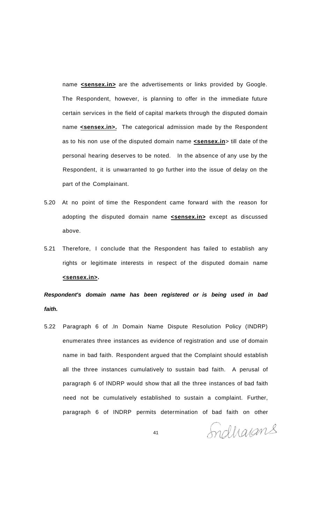name **sensex.in>** are the advertisements or links provided by Google. The Respondent, however, is planning to offer in the immediate future certain services in the field of capital markets through the disputed domain name **sensex.in>.** The categorical admission made by the Respondent as to his non use of the disputed domain name **<sensex.in**> till date of the personal hearing deserves to be noted. In the absence of any use by the Respondent, it is unwarranted to go further into the issue of delay on the part of the Complainant.

- 5.20 At no point of time the Respondent came forward with the reason for adopting the disputed domain name **<sensex.in>** except as discussed above.
- 5.21 Therefore, I conclude that the Respondent has failed to establish any rights or legitimate interests in respect of the disputed domain name **<sensex.in>.**

**Respondent's domain name has been registered or is being used in bad faith.** 

5.22 Paragraph 6 of .In Domain Name Dispute Resolution Policy (INDRP) enumerates three instances as evidence of registration and use of domain name in bad faith. Respondent argued that the Complaint should establish all the three instances cumulatively to sustain bad faith. A perusal of paragraph 6 of INDRP would show that all the three instances of bad faith need not be cumulatively established to sustain a complaint. Further, paragraph 6 of INDRP permits determination of bad faith on other

Sndharans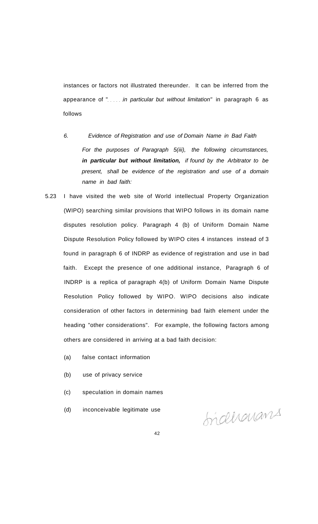instances or factors not illustrated thereunder. It can be inferred from the appearance of " $\ldots$  in particular but without limitation" in paragraph 6 as follows

- 6. Evidence of Registration and use of Domain Name in Bad Faith For the purposes of Paragraph 5(iii), the following circumstances, **in particular but without limitation,** if found by the Arbitrator to be present, shall be evidence of the registration and use of a domain name in bad faith:
- 5.23 I have visited the web site of World intellectual Property Organization (WIPO) searching similar provisions that WIPO follows in its domain name disputes resolution policy. Paragraph 4 (b) of Uniform Domain Name Dispute Resolution Policy followed by WIPO cites 4 instances instead of 3 found in paragraph 6 of INDRP as evidence of registration and use in bad faith. Except the presence of one additional instance, Paragraph 6 of INDRP is a replica of paragraph 4(b) of Uniform Domain Name Dispute Resolution Policy followed by WIPO. WIPO decisions also indicate consideration of other factors in determining bad faith element under the heading "other considerations". For example, the following factors among others are considered in arriving at a bad faith decision:
	- (a) false contact information
	- (b) use of privacy service
	- (c) speculation in domain names
	- (d) inconceivable legitimate use

Sideharans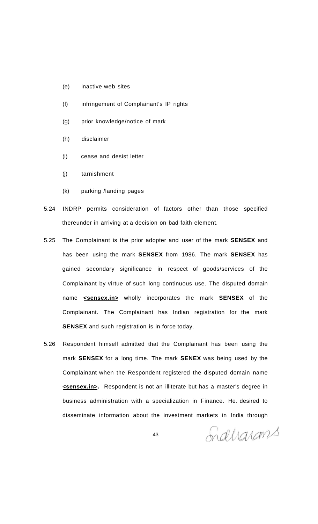- (e) inactive web sites
- (f) infringement of Complainant's IP rights
- (g) prior knowledge/notice of mark
- (h) disclaimer
- (i) cease and desist letter
- (j) tarnishment
- (k) parking /landing pages
- 5.24 INDRP permits consideration of factors other than those specified thereunder in arriving at a decision on bad faith element.
- 5.25 The Complainant is the prior adopter and user of the mark **SENSEX** and has been using the mark **SENSEX** from 1986. The mark **SENSEX** has gained secondary significance in respect of goods/services of the Complainant by virtue of such long continuous use. The disputed domain name **<sensex.in>** wholly incorporates the mark **SENSEX** of the Complainant. The Complainant has Indian registration for the mark **SENSEX** and such registration is in force today.
- 5.26 Respondent himself admitted that the Complainant has been using the mark **SENSEX** for a long time. The mark **SENEX** was being used by the Complainant when the Respondent registered the disputed domain name **<sensex.in>.** Respondent is not an illiterate but has a master's degree in business administration with a specialization in Finance. He. desired to disseminate information about the investment markets in India through

Indharans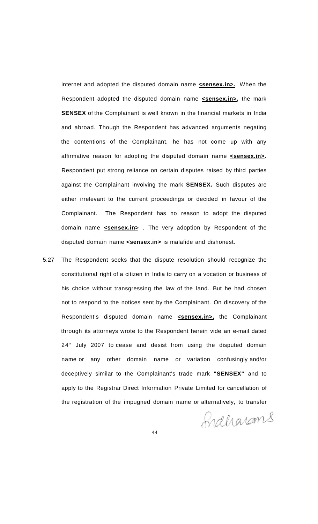internet and adopted the disputed domain name **<sensex.in>.** When the Respondent adopted the disputed domain name **<sensex.in>,** the mark **SENSEX** of the Complainant is well known in the financial markets in India and abroad. Though the Respondent has advanced arguments negating the contentions of the Complainant, he has not come up with any affirmative reason for adopting the disputed domain name **<sensex.in>.**  Respondent put strong reliance on certain disputes raised by third parties against the Complainant involving the mark **SENSEX.** Such disputes are either irrelevant to the current proceedings or decided in favour of the Complainant. The Respondent has no reason to adopt the disputed domain name **<sensex.in>** . The very adoption by Respondent of the disputed domain name **<sensex.in>** is malafide and dishonest.

5.27 The Respondent seeks that the dispute resolution should recognize the constitutional right of a citizen in India to carry on a vocation or business of his choice without transgressing the law of the land. But he had chosen not to respond to the notices sent by the Complainant. On discovery of the Respondent's disputed domain name **<sensex.in>,** the Complainant through its attorneys wrote to the Respondent herein vide an e-mail dated 24<sup>th</sup> July 2007 to cease and desist from using the disputed domain name or any other domain name or variation confusingly and/or deceptively similar to the Complainant's trade mark **"SENSEX"** and to apply to the Registrar Direct Information Private Limited for cancellation of the registration of the impugned domain name or alternatively, to transfer

fraharans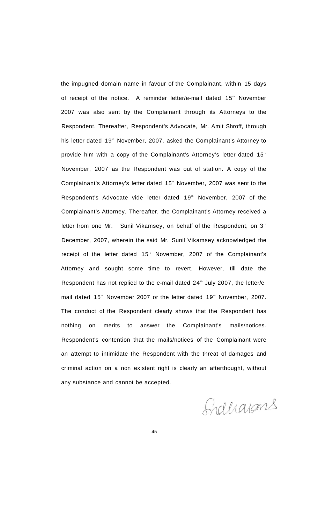the impugned domain name in favour of the Complainant, within 15 days of receipt of the notice. A reminder letter/e-mail dated 15<sup>th</sup> November 2007 was also sent by the Complainant through its Attorneys to the Respondent. Thereafter, Respondent's Advocate, Mr. Amit Shroff, through his letter dated 19<sup>th</sup> November, 2007, asked the Complainant's Attorney to provide him with a copy of the Complainant's Attorney's letter dated 15<sup>th</sup> November, 2007 as the Respondent was out of station. A copy of the Complainant's Attorney's letter dated 15<sup>th</sup> November, 2007 was sent to the Respondent's Advocate vide letter dated 19<sup>th</sup> November, 2007 of the Complainant's Attorney. Thereafter, the Complainant's Attorney received a letter from one Mr. Sunil Vikamsey, on behalf of the Respondent, on 3<sup>rd</sup> December, 2007, wherein the said Mr. Sunil Vikamsey acknowledged the receipt of the letter dated 15<sup>th</sup> November, 2007 of the Complainant's Attorney and sought some time to revert. However, till date the Respondent has not replied to the e-mail dated 24<sup>th</sup> July 2007, the letter/e mail dated 15<sup>th</sup> November 2007 or the letter dated 19<sup>th</sup> November, 2007. The conduct of the Respondent clearly shows that the Respondent has nothing on merits to answer the Complainant's mails/notices. Respondent's contention that the mails/notices of the Complainant were an attempt to intimidate the Respondent with the threat of damages and criminal action on a non existent right is clearly an afterthought, without any substance and cannot be accepted.

Grahams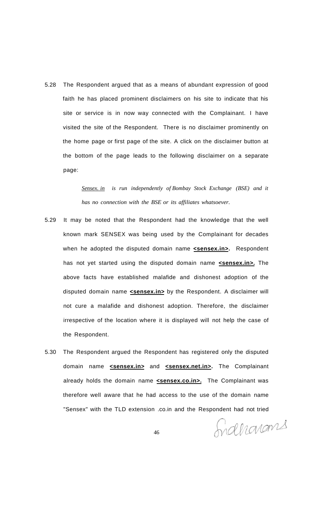5.28 The Respondent argued that as a means of abundant expression of good faith he has placed prominent disclaimers on his site to indicate that his site or service is in now way connected with the Complainant. I have visited the site of the Respondent. There is no disclaimer prominently on the home page or first page of the site. A click on the disclaimer button at the bottom of the page leads to the following disclaimer on a separate page:

> *Sensex. in is run independently of Bombay Stock Exchange (BSE) and it has no connection with the BSE or its affiliates whatsoever.*

- 5.29 It may be noted that the Respondent had the knowledge that the well known mark SENSEX was being used by the Complainant for decades when he adopted the disputed domain name **<sensex.in>**. Respondent has not yet started using the disputed domain name **<sensex.in>**. The above facts have established malafide and dishonest adoption of the disputed domain name **<sensex.in>** by the Respondent. A disclaimer will not cure a malafide and dishonest adoption. Therefore, the disclaimer irrespective of the location where it is displayed will not help the case of the Respondent.
- 5.30 The Respondent argued the Respondent has registered only the disputed domain name **<sensex.in>** and **<sensex.net.in>.** The Complainant already holds the domain name **<sensex.co.in>**. The Complainant was therefore well aware that he had access to the use of the domain name "Sensex" with the TLD extension .co.in and the Respondent had not tried

Indharans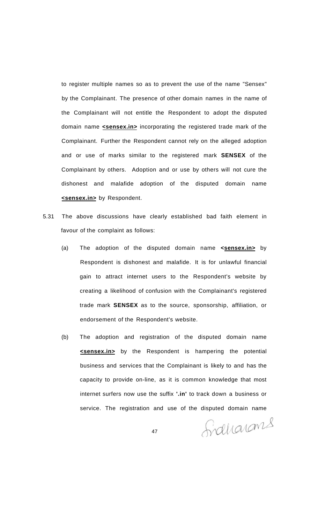to register multiple names so as to prevent the use of the name "Sensex" by the Complainant. The presence of other domain names in the name of the Complainant will not entitle the Respondent to adopt the disputed domain name **<sensex.in>** incorporating the registered trade mark of the Complainant. Further the Respondent cannot rely on the alleged adoption and or use of marks similar to the registered mark **SENSEX** of the Complainant by others. Adoption and or use by others will not cure the dishonest and malafide adoption of the disputed domain name **<sensex.in>** by Respondent.

- 5.31 The above discussions have clearly established bad faith element in favour of the complaint as follows:
	- (a) The adoption of the disputed domain name **<sensex.in>** by Respondent is dishonest and malafide. It is for unlawful financial gain to attract internet users to the Respondent's website by creating a likelihood of confusion with the Complainant's registered trade mark **SENSEX** as to the source, sponsorship, affiliation, or endorsement of the Respondent's website.
	- (b) The adoption and registration of the disputed domain name **<sensex.in>** by the Respondent is hampering the potential business and services that the Complainant is likely to and has the capacity to provide on-line, as it is common knowledge that most internet surfers now use the suffix **'.in'** to track down a business or service. The registration and use of the disputed domain name

Sidharans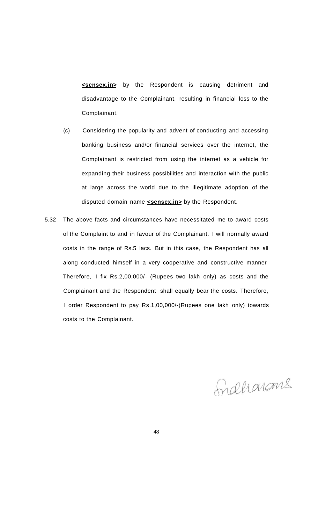**<sensex.in>** by the Respondent is causing detriment and disadvantage to the Complainant, resulting in financial loss to the Complainant.

- (c) Considering the popularity and advent of conducting and accessing banking business and/or financial services over the internet, the Complainant is restricted from using the internet as a vehicle for expanding their business possibilities and interaction with the public at large across the world due to the illegitimate adoption of the disputed domain name **<sensex.in>** by the Respondent.
- 5.32 The above facts and circumstances have necessitated me to award costs of the Complaint to and in favour of the Complainant. I will normally award costs in the range of Rs.5 lacs. But in this case, the Respondent has all along conducted himself in a very cooperative and constructive manner Therefore, I fix Rs.2,00,000/- (Rupees two lakh only) as costs and the Complainant and the Respondent shall equally bear the costs. Therefore, I order Respondent to pay Rs.1,00,000/-(Rupees one lakh only) towards costs to the Complainant.

Grahamans